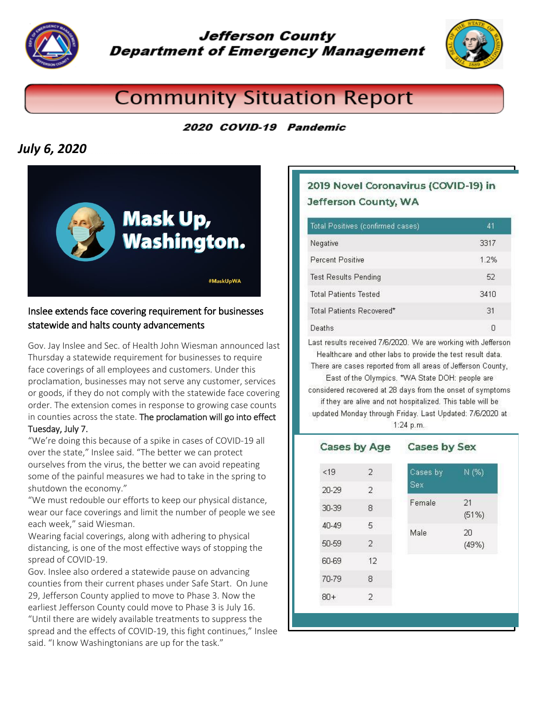

**Jefferson County Department of Emergency Management** 



# **Community Situation Report**

#### 2020 COVID-19 Pandemic

## *July 6, 2020*



#### Inslee extends face covering requirement for businesses statewide and halts county advancements

Gov. Jay Inslee and Sec. of Health John Wiesman announced last Thursday a statewide requirement for businesses to require face coverings of all employees and customers. Under this proclamation, businesses may not serve any customer, services or goods, if they do not comply with the statewide [face covering](https://medium.com/wagovernor/inslee-announces-statewide-mask-mandate-812c9ba7a92)  [order.](https://medium.com/wagovernor/inslee-announces-statewide-mask-mandate-812c9ba7a92) The extension comes in response to growing case counts in counties across the state. The proclamation will go into effect Tuesday, July 7.

"We're doing this because of a spike in cases of COVID-19 all over the state," Inslee said. "The better we can protect ourselves from the virus, the better we can avoid repeating some of the painful measures we had to take in the spring to shutdown the economy."

"We must redouble our efforts to keep our physical distance, wear our face coverings and limit the number of people we see each week," said Wiesman.

[Wearing facial coverings,](https://medium.com/wagovernor/inslee-announces-statewide-mask-mandate-812c9ba7a92) along with adhering to physical distancing, is one of the most effective ways of stopping the spread of COVID-19.

Gov. Inslee also ordered a statewide pause on advancing counties from their current phases under [Safe Start.](https://www.governor.wa.gov/sites/default/files/SafeStartPhasedReopening.pdf) On June 29, Jefferson County applied to move to Phase 3. Now the earliest Jefferson County could move to Phase 3 is July 16.

"Until there are widely available treatments to suppress the spread and the effects of COVID-19, this fight continues," Inslee said. "I know Washingtonians are up for the task."

### 2019 Novel Coronavirus (COVID-19) in Jefferson County, WA

| Total Positives (confirmed cases) | 41   |
|-----------------------------------|------|
| Negative                          | 3317 |
| <b>Percent Positive</b>           | 1.2% |
| <b>Test Results Pending</b>       | 52   |
| <b>Total Patients Tested</b>      | 3410 |
| Total Patients Recovered*         | .31  |
| Deaths                            | Н    |

Last results received 7/6/2020. We are working with Jefferson Healthcare and other labs to provide the test result data.

There are cases reported from all areas of Jefferson County, East of the Olympics. \*WA State DOH: people are considered recovered at 28 days from the onset of symptoms if they are alive and not hospitalized. This table will be updated Monday through Friday. Last Updated: 7/6/2020 at 1:24 p.m.

| Cases by Age |    | <b>Cases by Sex</b> |             |  |
|--------------|----|---------------------|-------------|--|
| < 19         | 2. | Cases by            | N (%)       |  |
| 20-29        | 2  | Sex                 |             |  |
| 30-39        | 8  | Female              | 21<br>(51%) |  |
| 40-49        | 5  | Male                | 20          |  |
| 50-59        | 2  |                     | (49%)       |  |
| 60-69        | 12 |                     |             |  |
| 70-79        | 8  |                     |             |  |
| 80+          | 2. |                     |             |  |